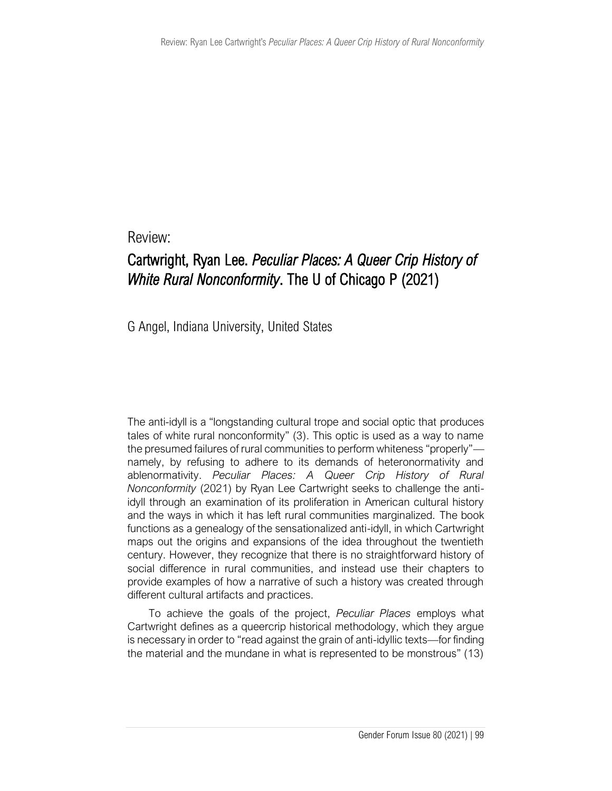Review:

## Cartwright, Ryan Lee. *Peculiar Places: A Queer Crip History of White Rural Nonconformity*. The U of Chicago P (2021)

G Angel, Indiana University, United States

The anti-idyll is a "longstanding cultural trope and social optic that produces tales of white rural nonconformity" (3). This optic is used as a way to name the presumed failures of rural communities to perform whiteness "properly" namely, by refusing to adhere to its demands of heteronormativity and ablenormativity. *Peculiar Places: A Queer Crip History of Rural Nonconformity* (2021) by Ryan Lee Cartwright seeks to challenge the antiidyll through an examination of its proliferation in American cultural history and the ways in which it has left rural communities marginalized. The book functions as a genealogy of the sensationalized anti-idyll, in which Cartwright maps out the origins and expansions of the idea throughout the twentieth century. However, they recognize that there is no straightforward history of social difference in rural communities, and instead use their chapters to provide examples of how a narrative of such a history was created through different cultural artifacts and practices.

To achieve the goals of the project, *Peculiar Places* employs what Cartwright defines as a queercrip historical methodology, which they argue is necessary in order to "read against the grain of anti-idyllic texts—for finding the material and the mundane in what is represented to be monstrous" (13)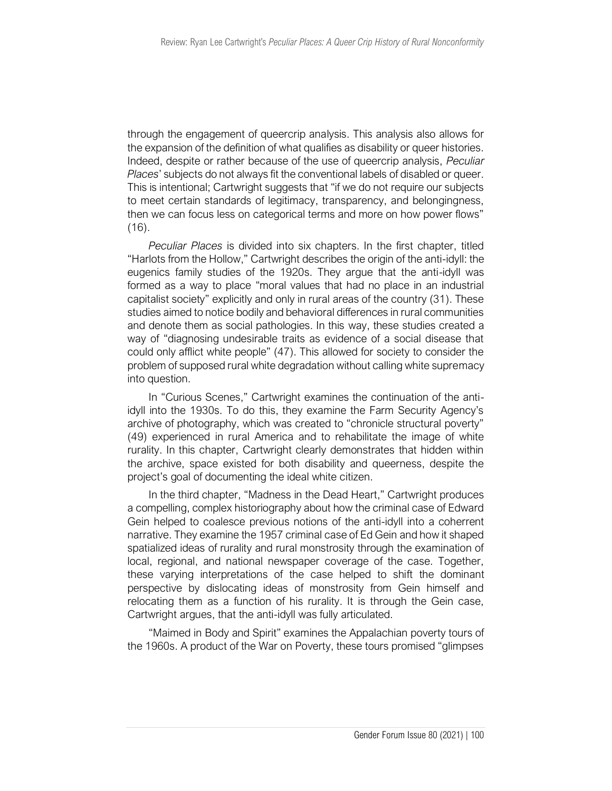through the engagement of queercrip analysis. This analysis also allows for the expansion of the definition of what qualifies as disability or queer histories. Indeed, despite or rather because of the use of queercrip analysis, *Peculiar Places*' subjects do not always fit the conventional labels of disabled or queer. This is intentional; Cartwright suggests that "if we do not require our subjects to meet certain standards of legitimacy, transparency, and belongingness, then we can focus less on categorical terms and more on how power flows" (16).

*Peculiar Places* is divided into six chapters. In the first chapter, titled "Harlots from the Hollow," Cartwright describes the origin of the anti-idyll: the eugenics family studies of the 1920s. They argue that the anti-idyll was formed as a way to place "moral values that had no place in an industrial capitalist society" explicitly and only in rural areas of the country (31). These studies aimed to notice bodily and behavioral differences in rural communities and denote them as social pathologies. In this way, these studies created a way of "diagnosing undesirable traits as evidence of a social disease that could only afflict white people" (47). This allowed for society to consider the problem of supposed rural white degradation without calling white supremacy into question.

In "Curious Scenes," Cartwright examines the continuation of the antiidyll into the 1930s. To do this, they examine the Farm Security Agency's archive of photography, which was created to "chronicle structural poverty" (49) experienced in rural America and to rehabilitate the image of white rurality. In this chapter, Cartwright clearly demonstrates that hidden within the archive, space existed for both disability and queerness, despite the project's goal of documenting the ideal white citizen.

In the third chapter, "Madness in the Dead Heart," Cartwright produces a compelling, complex historiography about how the criminal case of Edward Gein helped to coalesce previous notions of the anti-idyll into a coherrent narrative. They examine the 1957 criminal case of Ed Gein and how it shaped spatialized ideas of rurality and rural monstrosity through the examination of local, regional, and national newspaper coverage of the case. Together, these varying interpretations of the case helped to shift the dominant perspective by dislocating ideas of monstrosity from Gein himself and relocating them as a function of his rurality. It is through the Gein case, Cartwright argues, that the anti-idyll was fully articulated.

"Maimed in Body and Spirit" examines the Appalachian poverty tours of the 1960s. A product of the War on Poverty, these tours promised "glimpses